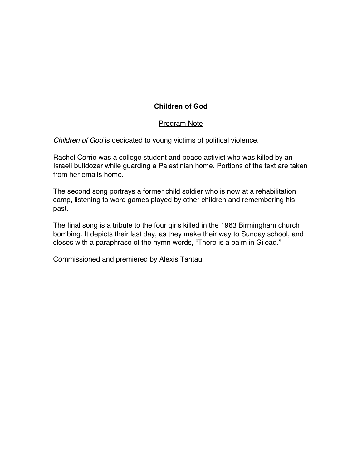# **Children of God**

### Program Note

*Children of God* is dedicated to young victims of political violence.

Rachel Corrie was a college student and peace activist who was killed by an Israeli bulldozer while guarding a Palestinian home. Portions of the text are taken from her emails home.

The second song portrays a former child soldier who is now at a rehabilitation camp, listening to word games played by other children and remembering his past.

The final song is a tribute to the four girls killed in the 1963 Birmingham church bombing. It depicts their last day, as they make their way to Sunday school, and closes with a paraphrase of the hymn words, "There is a balm in Gilead."

Commissioned and premiered by Alexis Tantau.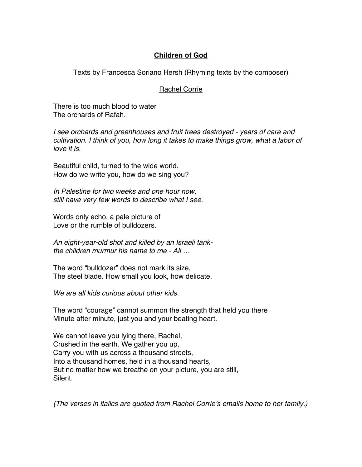## **Children of God**

Texts by Francesca Soriano Hersh (Rhyming texts by the composer)

### Rachel Corrie

There is too much blood to water The orchards of Rafah.

*I see orchards and greenhouses and fruit trees destroyed - years of care and cultivation. I think of you, how long it takes to make things grow, what a labor of love it is.*

Beautiful child, turned to the wide world. How do we write you, how do we sing you?

*In Palestine for two weeks and one hour now, still have very few words to describe what I see.*

Words only echo, a pale picture of Love or the rumble of bulldozers.

*An eight-year-old shot and killed by an Israeli tankthe children murmur his name to me - Ali …*

The word "bulldozer" does not mark its size, The steel blade. How small you look, how delicate.

*We are all kids curious about other kids.*

The word "courage" cannot summon the strength that held you there Minute after minute, just you and your beating heart.

We cannot leave you lying there, Rachel, Crushed in the earth. We gather you up, Carry you with us across a thousand streets, Into a thousand homes, held in a thousand hearts, But no matter how we breathe on your picture, you are still, Silent.

*(The verses in italics are quoted from Rachel Corrie*'*s emails home to her family.)*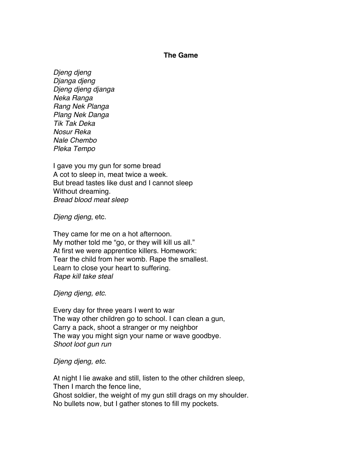#### **The Game**

*Djeng djeng Djanga djeng Djeng djeng djanga Neka Ranga Rang Nek Planga Plang Nek Danga Tik Tak Deka Nosur Reka Nale Chembo Pleka Tempo*

I gave you my gun for some bread A cot to sleep in, meat twice a week. But bread tastes like dust and I cannot sleep Without dreaming. *Bread blood meat sleep*

*Djeng djeng*, etc.

They came for me on a hot afternoon. My mother told me "go, or they will kill us all." At first we were apprentice killers. Homework: Tear the child from her womb. Rape the smallest. Learn to close your heart to suffering. *Rape kill take steal*

*Djeng djeng, etc.*

Every day for three years I went to war The way other children go to school. I can clean a gun, Carry a pack, shoot a stranger or my neighbor The way you might sign your name or wave goodbye. *Shoot loot gun run*

*Djeng djeng, etc.*

At night I lie awake and still, listen to the other children sleep, Then I march the fence line, Ghost soldier, the weight of my gun still drags on my shoulder. No bullets now, but I gather stones to fill my pockets.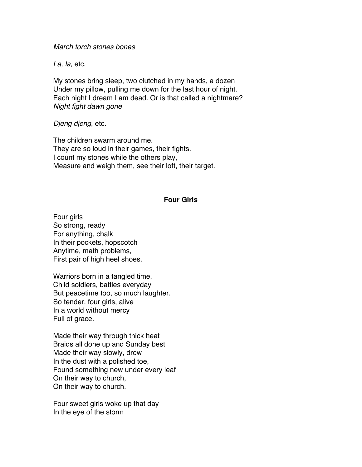*March torch stones bones*

*La, la,* etc.

My stones bring sleep, two clutched in my hands, a dozen Under my pillow, pulling me down for the last hour of night. Each night I dream I am dead. Or is that called a nightmare? *Night fight dawn gone*

*Djeng djeng*, etc.

The children swarm around me. They are so loud in their games, their fights. I count my stones while the others play, Measure and weigh them, see their loft, their target.

#### **Four Girls**

Four girls So strong, ready For anything, chalk In their pockets, hopscotch Anytime, math problems, First pair of high heel shoes.

Warriors born in a tangled time, Child soldiers, battles everyday But peacetime too, so much laughter. So tender, four girls, alive In a world without mercy Full of grace.

Made their way through thick heat Braids all done up and Sunday best Made their way slowly, drew In the dust with a polished toe, Found something new under every leaf On their way to church, On their way to church.

Four sweet girls woke up that day In the eye of the storm